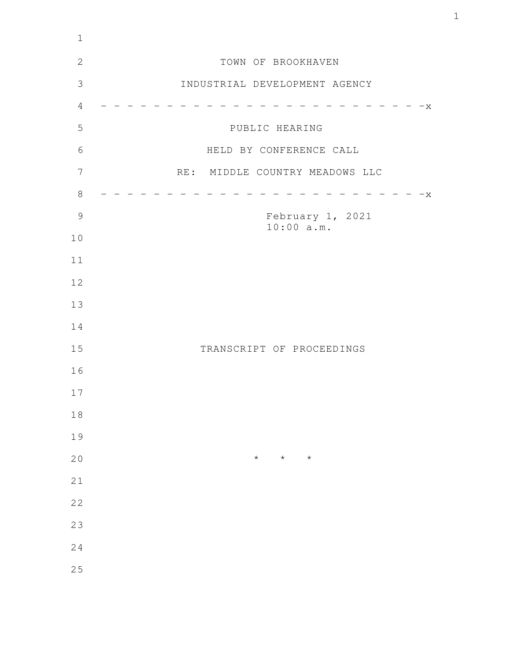| $1\,$          |                                |
|----------------|--------------------------------|
| $\mathbf{2}$   | TOWN OF BROOKHAVEN             |
| $\mathfrak{Z}$ | INDUSTRIAL DEVELOPMENT AGENCY  |
| $\overline{4}$ | $-x$                           |
| 5              | PUBLIC HEARING                 |
| 6              | HELD BY CONFERENCE CALL        |
| 7              | RE: MIDDLE COUNTRY MEADOWS LLC |
| $8\,$          | X                              |
| $\mathcal{G}$  | February 1, 2021               |
| $10$           | 10:00 a.m.                     |
| 11             |                                |
| 12             |                                |
| 13             |                                |
| 14             |                                |
| 15             | TRANSCRIPT OF PROCEEDINGS      |
| 16             |                                |
| 17             |                                |
| $1\,8$         |                                |
| 19             |                                |
| 20             | $\star$<br>$\star$<br>$\star$  |
| 21             |                                |
| 22             |                                |
| 23             |                                |
| 24             |                                |
| 25             |                                |
|                |                                |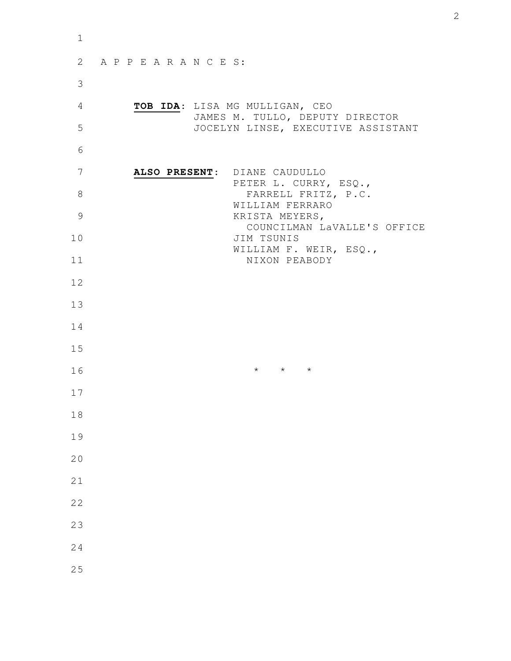| APPEARANCES:                       |                                                                                         |
|------------------------------------|-----------------------------------------------------------------------------------------|
|                                    |                                                                                         |
| TOB IDA: LISA MG MULLIGAN, CEO     |                                                                                         |
| JOCELYN LINSE, EXECUTIVE ASSISTANT |                                                                                         |
|                                    |                                                                                         |
| ALSO PRESENT: DIANE CAUDULLO       |                                                                                         |
| FARRELL FRITZ, P.C.                |                                                                                         |
| WILLIAM FERRARO<br>KRISTA MEYERS,  |                                                                                         |
| COUNCILMAN LaVALLE'S OFFICE        |                                                                                         |
| WILLIAM F. WEIR, ESQ.,             |                                                                                         |
|                                    |                                                                                         |
|                                    |                                                                                         |
|                                    |                                                                                         |
|                                    |                                                                                         |
|                                    |                                                                                         |
| $\star$ $\star$ $\star$            |                                                                                         |
|                                    |                                                                                         |
|                                    |                                                                                         |
|                                    |                                                                                         |
|                                    |                                                                                         |
|                                    |                                                                                         |
|                                    |                                                                                         |
|                                    |                                                                                         |
|                                    |                                                                                         |
|                                    |                                                                                         |
|                                    | JAMES M. TULLO, DEPUTY DIRECTOR<br>PETER L. CURRY, ESQ.,<br>JIM TSUNIS<br>NIXON PEABODY |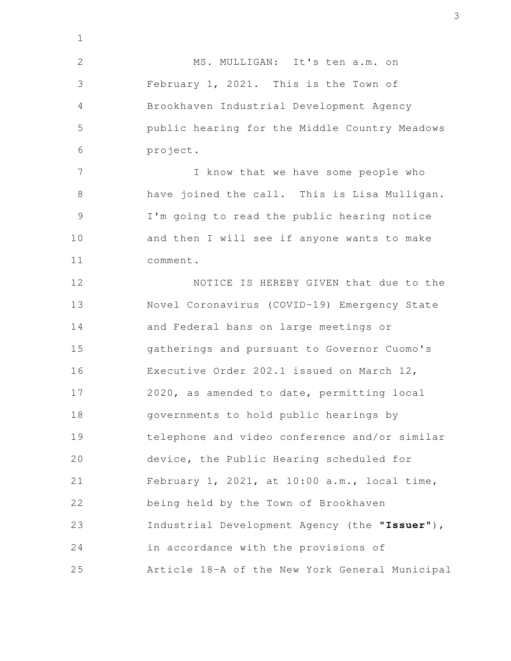MS. MULLIGAN: It's ten a.m. on February 1, 2021. This is the Town of Brookhaven Industrial Development Agency public hearing for the Middle Country Meadows project. I know that we have some people who have joined the call. This is Lisa Mulligan. I'm going to read the public hearing notice and then I will see if anyone wants to make comment. NOTICE IS HEREBY GIVEN that due to the Novel Coronavirus (COVID-19) Emergency State and Federal bans on large meetings or gatherings and pursuant to Governor Cuomo's Executive Order 202.1 issued on March 12, 2020, as amended to date, permitting local governments to hold public hearings by telephone and video conference and/or similar device, the Public Hearing scheduled for February 1, 2021, at 10:00 a.m., local time, being held by the Town of Brookhaven Industrial Development Agency (the "**Issuer**"), in accordance with the provisions of Article 18-A of the New York General Municipal 1 2 3 4 5 6 7 8 9 10 11 12 13 14 15 16 17 18 19 20 21 22 23 24 25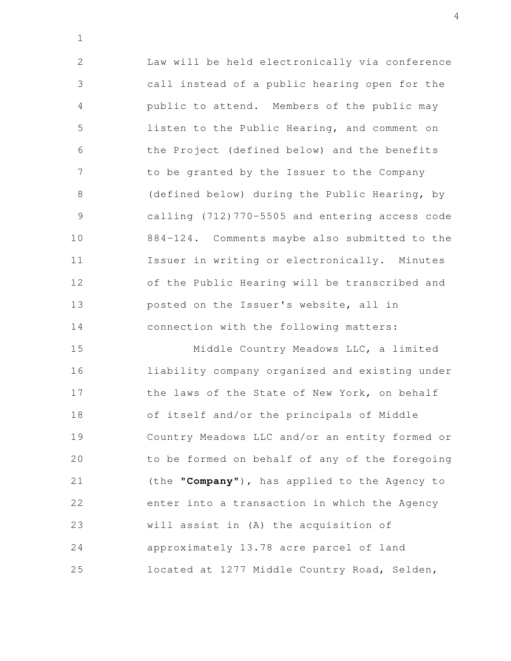Law will be held electronically via conference call instead of a public hearing open for the public to attend. Members of the public may listen to the Public Hearing, and comment on the Project (defined below) and the benefits to be granted by the Issuer to the Company (defined below) during the Public Hearing, by calling (712)770-5505 and entering access code 884-124. Comments maybe also submitted to the Issuer in writing or electronically. Minutes of the Public Hearing will be transcribed and posted on the Issuer's website, all in connection with the following matters: 2 3 4 5 6 7 8 9 10 11 12 13 14

1

Middle Country Meadows LLC, a limited liability company organized and existing under the laws of the State of New York, on behalf of itself and/or the principals of Middle Country Meadows LLC and/or an entity formed or to be formed on behalf of any of the foregoing (the "**Company**"), has applied to the Agency to enter into a transaction in which the Agency will assist in (A) the acquisition of approximately 13.78 acre parcel of land located at 1277 Middle Country Road, Selden, 15 16 17 18 19 20 21 22 23 24 25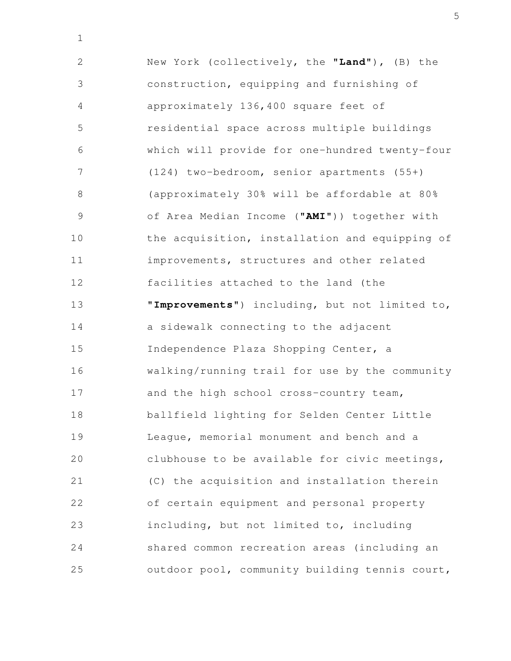New York (collectively, the "**Land**"), (B) the construction, equipping and furnishing of approximately 136,400 square feet of residential space across multiple buildings which will provide for one-hundred twenty-four (124) two-bedroom, senior apartments (55+) (approximately 30% will be affordable at 80% of Area Median Income ("**AMI**")) together with the acquisition, installation and equipping of improvements, structures and other related facilities attached to the land (the "**Improvements**") including, but not limited to, a sidewalk connecting to the adjacent Independence Plaza Shopping Center, a walking/running trail for use by the community and the high school cross-country team, ballfield lighting for Selden Center Little League, memorial monument and bench and a clubhouse to be available for civic meetings, (C) the acquisition and installation therein of certain equipment and personal property including, but not limited to, including shared common recreation areas (including an outdoor pool, community building tennis court, 2 3 4 5 6 7 8 9 10 11 12 13 14 15 16 17 18 19 20 21 22 23 24 25

1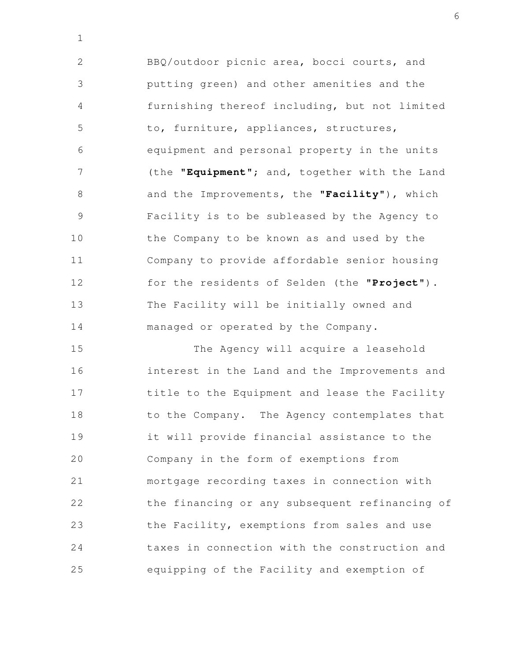BBQ/outdoor picnic area, bocci courts, and putting green) and other amenities and the furnishing thereof including, but not limited to, furniture, appliances, structures, equipment and personal property in the units (the "**Equipment**"; and, together with the Land and the Improvements, the "**Facility**"), which Facility is to be subleased by the Agency to the Company to be known as and used by the Company to provide affordable senior housing for the residents of Selden (the "**Project**"). The Facility will be initially owned and managed or operated by the Company. 2 3 4 5 6 7 8 9 10 11 12 13 14

1

The Agency will acquire a leasehold interest in the Land and the Improvements and title to the Equipment and lease the Facility to the Company. The Agency contemplates that it will provide financial assistance to the Company in the form of exemptions from mortgage recording taxes in connection with the financing or any subsequent refinancing of the Facility, exemptions from sales and use taxes in connection with the construction and equipping of the Facility and exemption of 15 16 17 18 19 20 21 22 23 24 25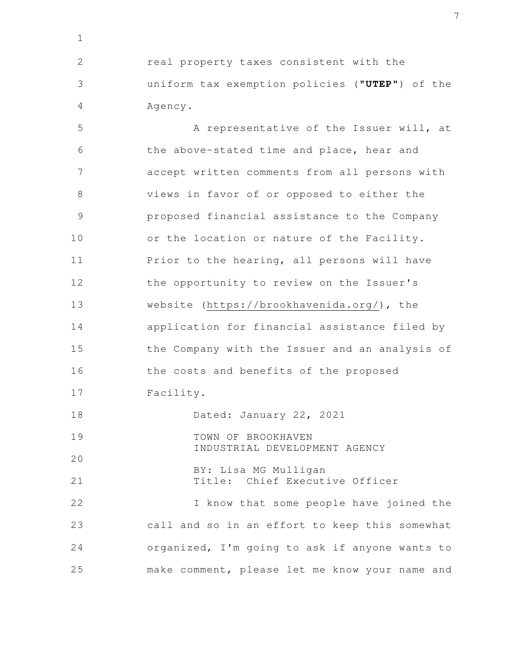real property taxes consistent with the uniform tax exemption policies ("**UTEP**") of the Agency. 2 3 4

1

A representative of the Issuer will, at the above-stated time and place, hear and accept written comments from all persons with views in favor of or opposed to either the proposed financial assistance to the Company or the location or nature of the Facility. Prior to the hearing, all persons will have the opportunity to review on the Issuer's website (https://brookhavenida.org/), the application for financial assistance filed by the Company with the Issuer and an analysis of the costs and benefits of the proposed Facility. Dated: January 22, 2021 TOWN OF BROOKHAVEN INDUSTRIAL DEVELOPMENT AGENCY BY: Lisa MG Mulligan Title: Chief Executive Officer I know that some people have joined the call and so in an effort to keep this somewhat organized, I'm going to ask if anyone wants to make comment, please let me know your name and 5 6 7 8 9 10 11 12 13 14 15 16 17 18 19 20 21 22 23 24 25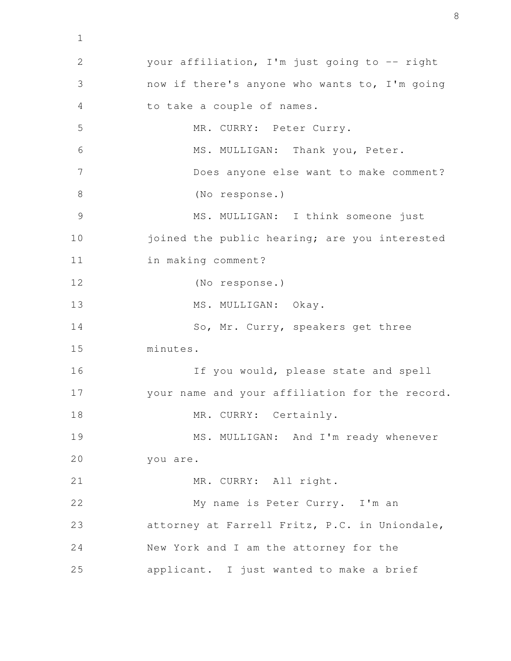your affiliation, I'm just going to -- right now if there's anyone who wants to, I'm going to take a couple of names. MR. CURRY: Peter Curry. MS. MULLIGAN: Thank you, Peter. Does anyone else want to make comment? (No response.) MS. MULLIGAN: I think someone just joined the public hearing; are you interested in making comment? (No response.) MS. MULLIGAN: Okay. So, Mr. Curry, speakers get three minutes. If you would, please state and spell your name and your affiliation for the record. MR. CURRY: Certainly. MS. MULLIGAN: And I'm ready whenever you are. MR. CURRY: All right. My name is Peter Curry. I'm an attorney at Farrell Fritz, P.C. in Uniondale, New York and I am the attorney for the applicant. I just wanted to make a brief 2 3 4 5 6 7 8 9 10 11 12 13 14 15 16 17 18 19 20 21 22 23 24 25

1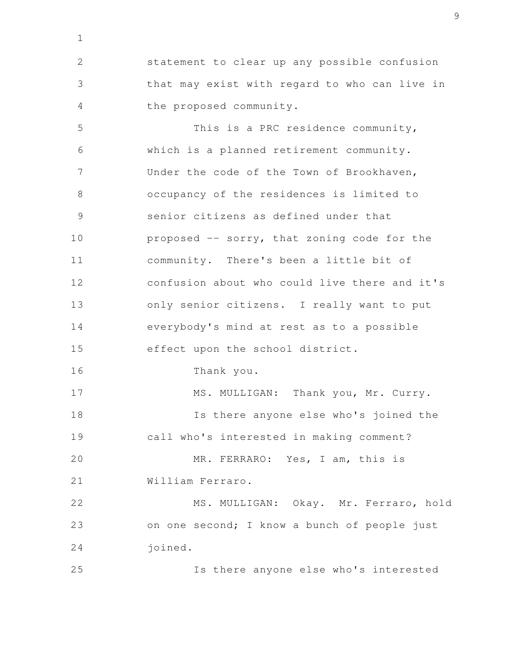statement to clear up any possible confusion that may exist with regard to who can live in the proposed community. 2 3 4

1

This is a PRC residence community, which is a planned retirement community. Under the code of the Town of Brookhaven, occupancy of the residences is limited to senior citizens as defined under that proposed -- sorry, that zoning code for the community. There's been a little bit of confusion about who could live there and it's only senior citizens. I really want to put everybody's mind at rest as to a possible effect upon the school district. Thank you. MS. MULLIGAN: Thank you, Mr. Curry. Is there anyone else who's joined the call who's interested in making comment? MR. FERRARO: Yes, I am, this is William Ferraro. MS. MULLIGAN: Okay. Mr. Ferraro, hold on one second; I know a bunch of people just joined. 5 6 7 8 9 10 11 12 13 14 15 16 17 18 19 20 21 22 23 24 25

Is there anyone else who's interested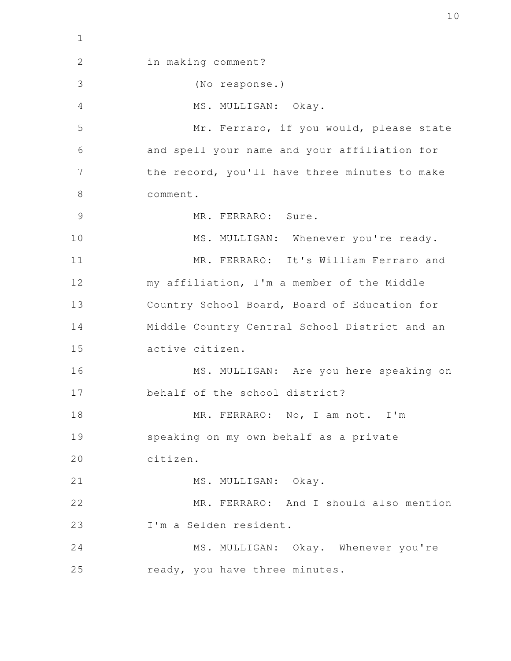in making comment? (No response.) MS. MULLIGAN: Okay. Mr. Ferraro, if you would, please state and spell your name and your affiliation for the record, you'll have three minutes to make comment. MR. FERRARO: Sure. MS. MULLIGAN: Whenever you're ready. MR. FERRARO: It's William Ferraro and my affiliation, I'm a member of the Middle Country School Board, Board of Education for Middle Country Central School District and an active citizen. MS. MULLIGAN: Are you here speaking on behalf of the school district? MR. FERRARO: No, I am not. I'm speaking on my own behalf as a private citizen. MS. MULLIGAN: Okay. MR. FERRARO: And I should also mention I'm a Selden resident. MS. MULLIGAN: Okay. Whenever you're ready, you have three minutes. 2 3 4 5 6 7 8 9 10 11 12 13 14 15 16 17 18 19 20 21 22 23 24 25

1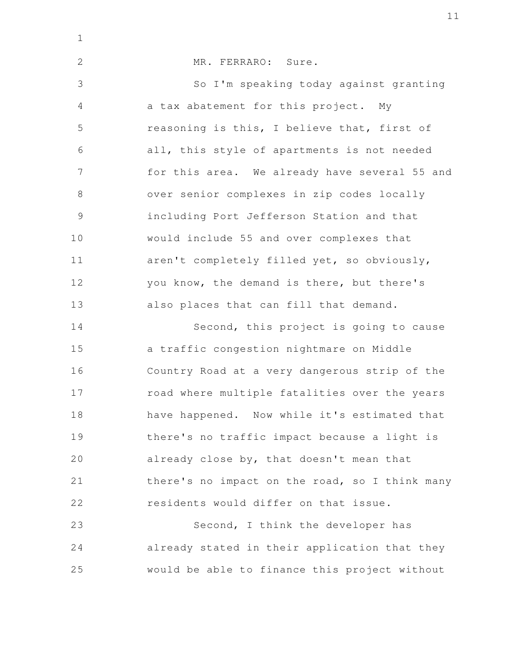| $\mathbf{1}$   |                                                |
|----------------|------------------------------------------------|
| $\overline{2}$ | MR. FERRARO: Sure.                             |
| 3              | So I'm speaking today against granting         |
| $\overline{4}$ | a tax abatement for this project. My           |
| 5              | reasoning is this, I believe that, first of    |
| 6              | all, this style of apartments is not needed    |
| 7              | for this area. We already have several 55 and  |
| 8              | over senior complexes in zip codes locally     |
| $\overline{9}$ | including Port Jefferson Station and that      |
| 10             | would include 55 and over complexes that       |
| 11             | aren't completely filled yet, so obviously,    |
| 12             | you know, the demand is there, but there's     |
| 13             | also places that can fill that demand.         |
| 14             | Second, this project is going to cause         |
| 15             | a traffic congestion nightmare on Middle       |
| 16             | Country Road at a very dangerous strip of the  |
| 17             | road where multiple fatalities over the years  |
| 18             | have happened. Now while it's estimated that   |
| 19             | there's no traffic impact because a light is   |
| 20             | already close by, that doesn't mean that       |
| 21             | there's no impact on the road, so I think many |
| 22             | residents would differ on that issue.          |
| 23             | Second, I think the developer has              |
| 24             | already stated in their application that they  |
| 25             | would be able to finance this project without  |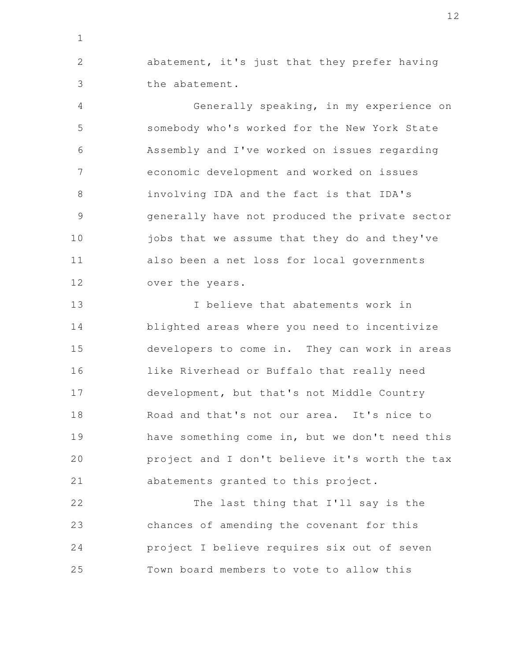abatement, it's just that they prefer having the abatement. 2 3

1

Generally speaking, in my experience on somebody who's worked for the New York State Assembly and I've worked on issues regarding economic development and worked on issues involving IDA and the fact is that IDA's generally have not produced the private sector jobs that we assume that they do and they've also been a net loss for local governments over the years. 4 5 6 7 8 9 10 11 12

I believe that abatements work in blighted areas where you need to incentivize developers to come in. They can work in areas like Riverhead or Buffalo that really need development, but that's not Middle Country Road and that's not our area. It's nice to have something come in, but we don't need this project and I don't believe it's worth the tax abatements granted to this project. 13 14 15 16 17 18 19 20 21

The last thing that I'll say is the chances of amending the covenant for this project I believe requires six out of seven Town board members to vote to allow this 22 23 24 25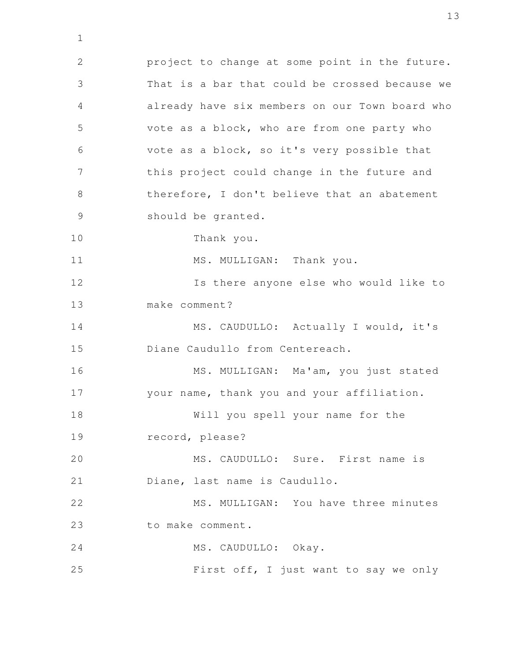project to change at some point in the future. That is a bar that could be crossed because we already have six members on our Town board who vote as a block, who are from one party who vote as a block, so it's very possible that this project could change in the future and therefore, I don't believe that an abatement should be granted. Thank you. MS. MULLIGAN: Thank you. Is there anyone else who would like to make comment? MS. CAUDULLO: Actually I would, it's Diane Caudullo from Centereach. MS. MULLIGAN: Ma'am, you just stated your name, thank you and your affiliation. Will you spell your name for the record, please? MS. CAUDULLO: Sure. First name is Diane, last name is Caudullo. MS. MULLIGAN: You have three minutes to make comment. MS. CAUDULLO: Okay. First off, I just want to say we only 2 3 4 5 6 7 8 9 10 11 12 13 14 15 16 17 18 19 20 21 22 23 24 25

1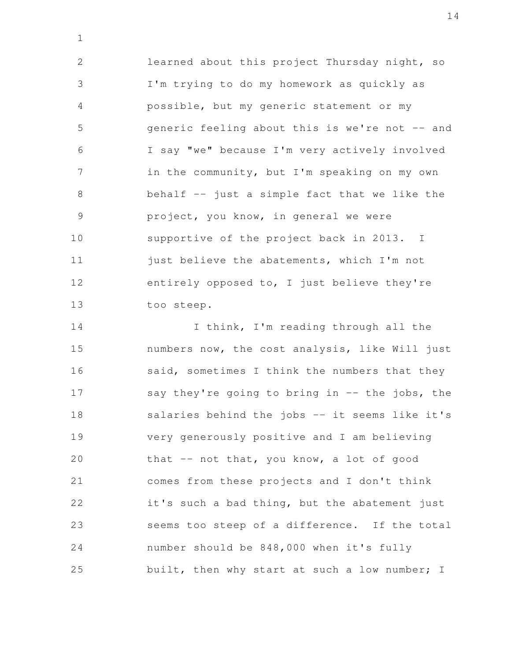learned about this project Thursday night, so I'm trying to do my homework as quickly as possible, but my generic statement or my generic feeling about this is we're not -- and I say "we" because I'm very actively involved in the community, but I'm speaking on my own behalf -- just a simple fact that we like the project, you know, in general we were supportive of the project back in 2013. I just believe the abatements, which I'm not entirely opposed to, I just believe they're too steep. 2 3 4 5 6 7 8 9 10 11 12 13

1

I think, I'm reading through all the numbers now, the cost analysis, like Will just said, sometimes I think the numbers that they say they're going to bring in  $-$  the jobs, the salaries behind the jobs -- it seems like it's very generously positive and I am believing that -- not that, you know, a lot of good comes from these projects and I don't think it's such a bad thing, but the abatement just seems too steep of a difference. If the total number should be 848,000 when it's fully built, then why start at such a low number; I 14 15 16 17 18 19 20 21 22 23 24 25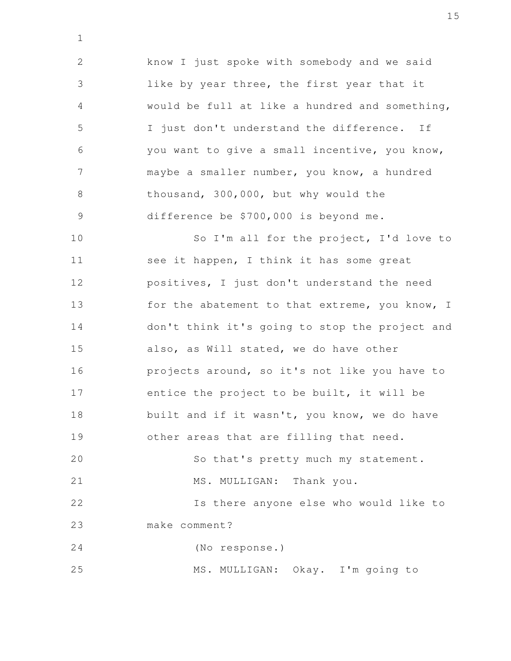know I just spoke with somebody and we said like by year three, the first year that it would be full at like a hundred and something, I just don't understand the difference. If you want to give a small incentive, you know, maybe a smaller number, you know, a hundred thousand, 300,000, but why would the difference be \$700,000 is beyond me. 2 3 4 5 6 7 8 9

1

So I'm all for the project, I'd love to see it happen, I think it has some great positives, I just don't understand the need for the abatement to that extreme, you know, I don't think it's going to stop the project and also, as Will stated, we do have other projects around, so it's not like you have to entice the project to be built, it will be built and if it wasn't, you know, we do have other areas that are filling that need. So that's pretty much my statement. MS. MULLIGAN: Thank you. Is there anyone else who would like to make comment? (No response.) MS. MULLIGAN: Okay. I'm going to 10 11 12 13 14 15 16 17 18 19 20 21 22 23 24 25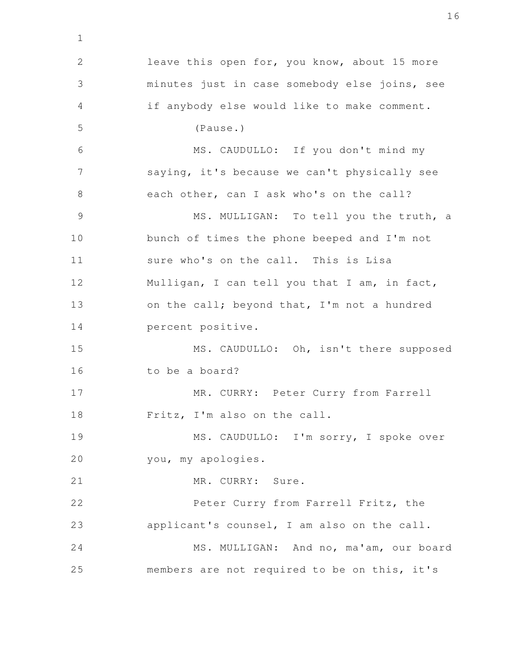leave this open for, you know, about 15 more minutes just in case somebody else joins, see if anybody else would like to make comment. (Pause.) MS. CAUDULLO: If you don't mind my saying, it's because we can't physically see each other, can I ask who's on the call? MS. MULLIGAN: To tell you the truth, a bunch of times the phone beeped and I'm not sure who's on the call. This is Lisa Mulligan, I can tell you that I am, in fact, on the call; beyond that, I'm not a hundred percent positive. MS. CAUDULLO: Oh, isn't there supposed to be a board? MR. CURRY: Peter Curry from Farrell Fritz, I'm also on the call. MS. CAUDULLO: I'm sorry, I spoke over you, my apologies. MR. CURRY: Sure. Peter Curry from Farrell Fritz, the applicant's counsel, I am also on the call. MS. MULLIGAN: And no, ma'am, our board members are not required to be on this, it's 2 3 4 5 6 7 8 9 10 11 12 13 14 15 16 17 18 19 20 21 22 23 24 25

1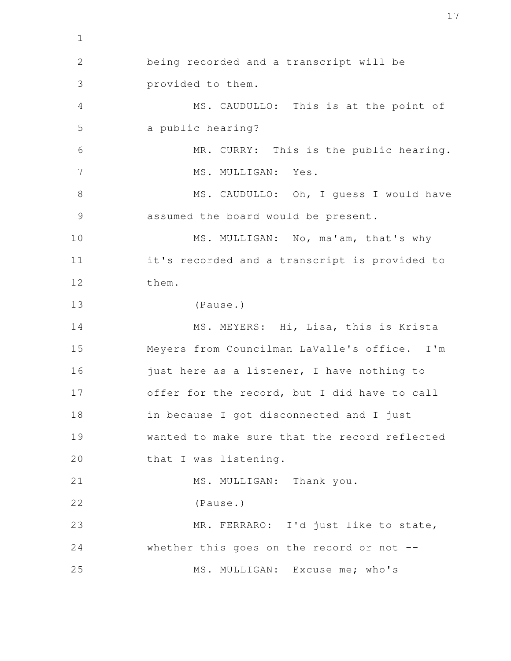being recorded and a transcript will be provided to them. MS. CAUDULLO: This is at the point of a public hearing? MR. CURRY: This is the public hearing. MS. MULLIGAN: Yes. MS. CAUDULLO: Oh, I guess I would have assumed the board would be present. MS. MULLIGAN: No, ma'am, that's why it's recorded and a transcript is provided to them. (Pause.) MS. MEYERS: Hi, Lisa, this is Krista Meyers from Councilman LaValle's office. I'm just here as a listener, I have nothing to offer for the record, but I did have to call in because I got disconnected and I just wanted to make sure that the record reflected that I was listening. MS. MULLIGAN: Thank you. (Pause.) MR. FERRARO: I'd just like to state, whether this goes on the record or not --MS. MULLIGAN: Excuse me; who's 2 3 4 5 6 7 8 9 10 11 12 13 14 15 16 17 18 19 20 21 22 23 24 25

1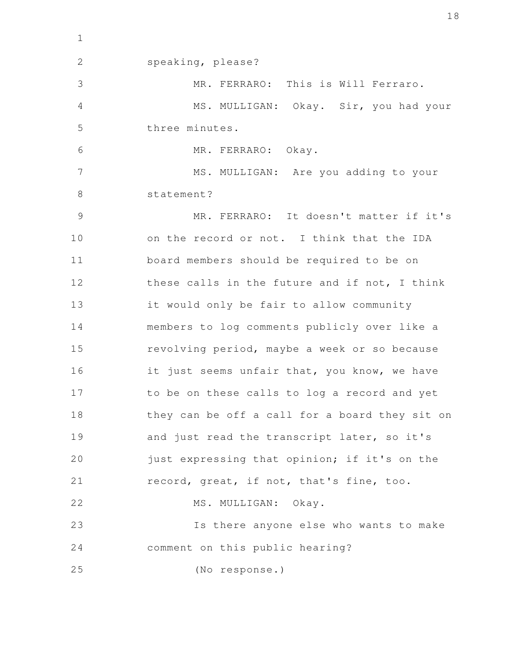speaking, please? MR. FERRARO: This is Will Ferraro. MS. MULLIGAN: Okay. Sir, you had your three minutes. MR. FERRARO: Okay. MS. MULLIGAN: Are you adding to your statement? MR. FERRARO: It doesn't matter if it's on the record or not. I think that the IDA board members should be required to be on these calls in the future and if not, I think it would only be fair to allow community members to log comments publicly over like a revolving period, maybe a week or so because it just seems unfair that, you know, we have to be on these calls to log a record and yet they can be off a call for a board they sit on and just read the transcript later, so it's just expressing that opinion; if it's on the record, great, if not, that's fine, too. MS. MULLIGAN: Okay. Is there anyone else who wants to make comment on this public hearing? (No response.) 2 3 4 5 6 7 8 9 10 11 12 13 14 15 16 17 18 19 20 21 22 23 24 25

1